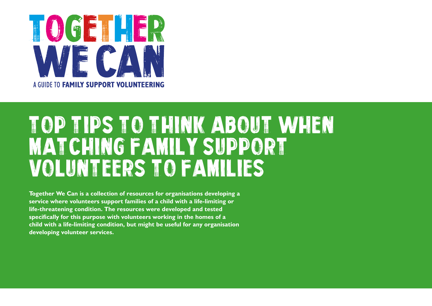

# TOP TIPS TO THINK ABOUT WHEN MATCHING FAMILY SUPPORT VOLUNTEERS TO FAMILIES

**Together We Can is a collection of resources for organisations developing a service where volunteers support families of a child with a life-limiting or life-threatening condition. The resources were developed and tested specifically for this purpose with volunteers working in the homes of a child with a life-limiting condition, but might be useful for any organisation developing volunteer services.**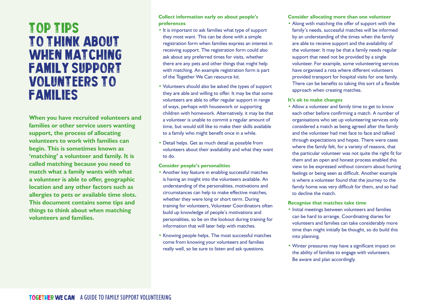## Top Tips TO THINK ABOUT WHEN MATCHING FAMILY SUPPORT VOLUNTEERS TO FAMILIES

**When you have recruited volunteers and families or other service users wanting support, the process of allocating volunteers to work with families can begin. This is sometimes known as 'matching' a volunteer and family. It is called matching because you need to match what a family wants with what a volunteer is able to offer, geographic location and any other factors such as allergies to pets or available time slots. This document contains some tips and things to think about when matching volunteers and families.**

### **Collect information early on about people's preferences**

- It is important to ask families what type of support they most want. This can be done with a simple registration form when families express an interest in receiving support. The registration form could also ask about any preferred times for visits, whether there are any pets and other things that might help with matching. An example registration form is part of the Together We Can resource kit.
- Volunteers should also be asked the types of support they are able and willing to offer. It may be that some volunteers are able to offer regular support in range of ways, perhaps with housework or supporting children with homework. Alternatively, it may be that a volunteer is unable to commit a regular amount of time, but would still like to make their skills available to a family who might benefit once in a while.
- Detail helps. Get as much detail as possible from volunteers about their availability and what they want to do.

#### **Consider people's personalities**

- Another key feature in enabling successful matches is having an insight into the volunteers available. An understanding of the personalities, motivations and circumstances can help to make effective matches, whether they were long or short term. During training for volunteers, Volunteer Coordinators often build up knowledge of people's motivations and personalities, so be on the lookout during training for information that will later help with matches.
- Knowing people helps. The most successful matches come from knowing your volunteers and families really well, so be sure to listen and ask questions.

#### **Consider allocating more than one volunteer**

• Along with matching the offer of support with the family's needs, successful matches will be informed by an understanding of the times when the family are able to receive support and the availability of the volunteer. It may be that a family needs regular support that need not be provided by a single volunteer. For example, some volunteering services have organised a rota where different volunteers provided transport for hospital visits for one family. There can be benefits to taking this sort of a flexible approach when creating matches.

#### **It's ok to make changes**

• Allow a volunteer and family time to get to know each other before confirming a match. A number of organisations who set up volunteering services only considered a match as being agreed after the family and the volunteer had met face to face and talked through expectations and hopes. There were cases where the family felt, for a variety of reasons, that the particular volunteer was not quite the right fit for them and an open and honest process enabled this view to be expressed without concern about hurting feelings or being seen as difficult. Another example is where a volunteer found that the journey to the family home was very difficult for them, and so had to decline the match.

#### **Recognise that matches take time**

- Initial meetings between volunteers and families can be hard to arrange. Coordinating diaries for volunteers and families can take considerably more time than might initially be thought, so do build this into planning.
- Winter pressures may have a significant impact on the ability of families to engage with volunteers. Be aware and plan accordingly.